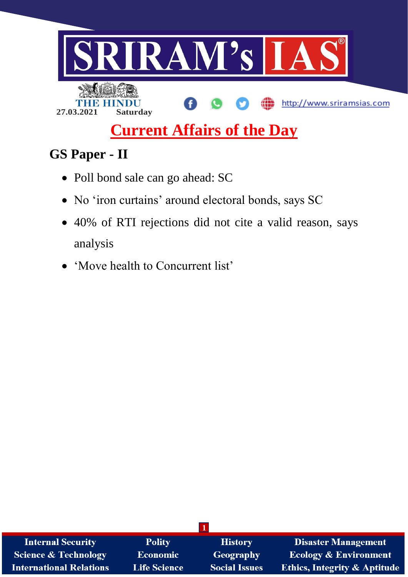

# **Current Affairs of the Day**

## **GS Paper - II**

- Poll bond sale can go ahead: SC
- No 'iron curtains' around electoral bonds, says SC
- 40% of RTI rejections did not cite a valid reason, says analysis
- 'Move health to Concurrent list'

| <b>Internal Security</b>        | <b>Polity</b>       | <b>History</b>       | <b>Disaster Management</b>              |
|---------------------------------|---------------------|----------------------|-----------------------------------------|
| <b>Science &amp; Technology</b> | <b>Economic</b>     | Geography            | <b>Ecology &amp; Environment</b>        |
| <b>International Relations</b>  | <b>Life Science</b> | <b>Social Issues</b> | <b>Ethics, Integrity &amp; Aptitude</b> |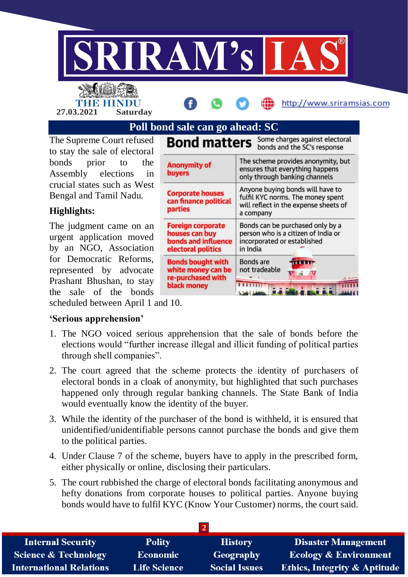

THE HINDU **27.03.2021 Saturday**



http://www.sriramsias.com

### **Poll bond sale can go ahead: SC**

The Supreme Court refused to stay the sale of electoral bonds prior to the Assembly elections in crucial states such as West Bengal and Tamil Nadu.

#### **Highlights:**

The judgment came on an urgent application moved by an NGO, Association for Democratic Reforms, represented by advocate Prashant Bhushan, to stay the sale of the bonds

| <b>Bond matters</b>                                                                       | Some charges against electoral<br>bonds and the SC's response                                                               |  |
|-------------------------------------------------------------------------------------------|-----------------------------------------------------------------------------------------------------------------------------|--|
| <b>Anonymity of</b><br><b>buyers</b>                                                      | The scheme provides anonymity, but<br>ensures that everything happens<br>only through banking channels                      |  |
| <b>Corporate houses</b><br>can finance political<br>parties                               | Anyone buying bonds will have to<br>fulfil KYC norms. The money spent<br>will reflect in the expense sheets of<br>a company |  |
| <b>Foreign corporate</b><br>houses can buy<br>bonds and influence<br>electoral politics   | Bonds can be purchased only by a<br>person who is a citizen of India or<br>incorporated or established<br>in India          |  |
| <b>Bonds bought with</b><br>white money can be<br>re-purchased with<br><b>black money</b> | Bonds are<br>not tradeable<br>11111                                                                                         |  |

scheduled between April 1 and 10.

#### **'Serious apprehension'**

- 1. The NGO voiced serious apprehension that the sale of bonds before the elections would "further increase illegal and illicit funding of political parties through shell companies".
- 2. The court agreed that the scheme protects the identity of purchasers of electoral bonds in a cloak of anonymity, but highlighted that such purchases happened only through regular banking channels. The State Bank of India would eventually know the identity of the buyer.
- 3. While the identity of the purchaser of the bond is withheld, it is ensured that unidentified/unidentifiable persons cannot purchase the bonds and give them to the political parties.
- 4. Under Clause 7 of the scheme, buyers have to apply in the prescribed form, either physically or online, disclosing their particulars.
- 5. The court rubbished the charge of electoral bonds facilitating anonymous and hefty donations from corporate houses to political parties. Anyone buying bonds would have to fulfil KYC (Know Your Customer) norms, the court said.

| <b>Internal Security</b>        | <b>Polity</b>       | <b>History</b>       | <b>Disaster Management</b>              |
|---------------------------------|---------------------|----------------------|-----------------------------------------|
| <b>Science &amp; Technology</b> | <b>Economic</b>     | Geography            | <b>Ecology &amp; Environment</b>        |
| <b>International Relations</b>  | <b>Life Science</b> | <b>Social Issues</b> | <b>Ethics, Integrity &amp; Aptitude</b> |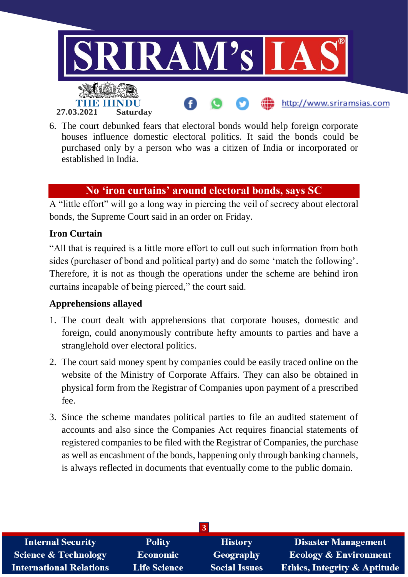

6. The court debunked fears that electoral bonds would help foreign corporate houses influence domestic electoral politics. It said the bonds could be purchased only by a person who was a citizen of India or incorporated or established in India.

#### **No 'iron curtains' around electoral bonds, says SC**

A "little effort" will go a long way in piercing the veil of secrecy about electoral bonds, the Supreme Court said in an order on Friday.

#### **Iron Curtain**

"All that is required is a little more effort to cull out such information from both sides (purchaser of bond and political party) and do some 'match the following'. Therefore, it is not as though the operations under the scheme are behind iron curtains incapable of being pierced," the court said.

#### **Apprehensions allayed**

- 1. The court dealt with apprehensions that corporate houses, domestic and foreign, could anonymously contribute hefty amounts to parties and have a stranglehold over electoral politics.
- 2. The court said money spent by companies could be easily traced online on the website of the Ministry of Corporate Affairs. They can also be obtained in physical form from the Registrar of Companies upon payment of a prescribed fee.
- 3. Since the scheme mandates political parties to file an audited statement of accounts and also since the Companies Act requires financial statements of registered companies to be filed with the Registrar of Companies, the purchase as well as encashment of the bonds, happening only through banking channels, is always reflected in documents that eventually come to the public domain.

| <b>Internal Security</b>        | <b>Polity</b>       | <b>History</b>       | Disaster Management                     |
|---------------------------------|---------------------|----------------------|-----------------------------------------|
| <b>Science &amp; Technology</b> | <b>Economic</b>     | Geography            | <b>Ecology &amp; Environment</b>        |
| <b>International Relations</b>  | <b>Life Science</b> | <b>Social Issues</b> | <b>Ethics, Integrity &amp; Aptitude</b> |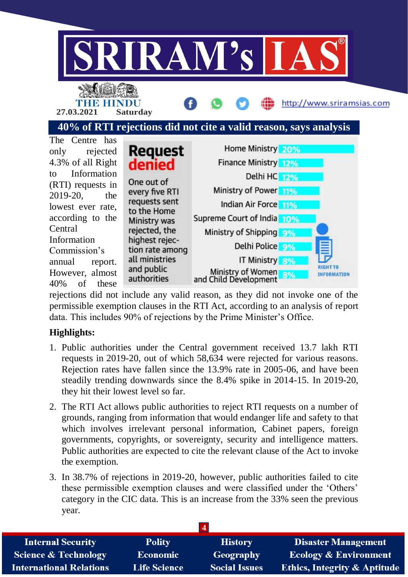

**40% of RTI rejections did not cite a valid reason, says analysis**



rejections did not include any valid reason, as they did not invoke one of the permissible exemption clauses in the RTI Act, according to an analysis of report data. This includes 90% of rejections by the Prime Minister's Office.

#### **Highlights:**

- 1. Public authorities under the Central government received 13.7 lakh RTI requests in 2019-20, out of which 58,634 were rejected for various reasons. Rejection rates have fallen since the 13.9% rate in 2005-06, and have been steadily trending downwards since the 8.4% spike in 2014-15. In 2019-20, they hit their lowest level so far.
- 2. The RTI Act allows public authorities to reject RTI requests on a number of grounds, ranging from information that would endanger life and safety to that which involves irrelevant personal information, Cabinet papers, foreign governments, copyrights, or sovereignty, security and intelligence matters. Public authorities are expected to cite the relevant clause of the Act to invoke the exemption.
- 3. In 38.7% of rejections in 2019-20, however, public authorities failed to cite these permissible exemption clauses and were classified under the 'Others' category in the CIC data. This is an increase from the 33% seen the previous year.

| <b>Internal Security</b>        | <b>Polity</b>       | <b>History</b>       | <b>Disaster Management</b>              |
|---------------------------------|---------------------|----------------------|-----------------------------------------|
| <b>Science &amp; Technology</b> | <b>Economic</b>     | Geography            | <b>Ecology &amp; Environment</b>        |
| <b>International Relations</b>  | <b>Life Science</b> | <b>Social Issues</b> | <b>Ethics, Integrity &amp; Aptitude</b> |